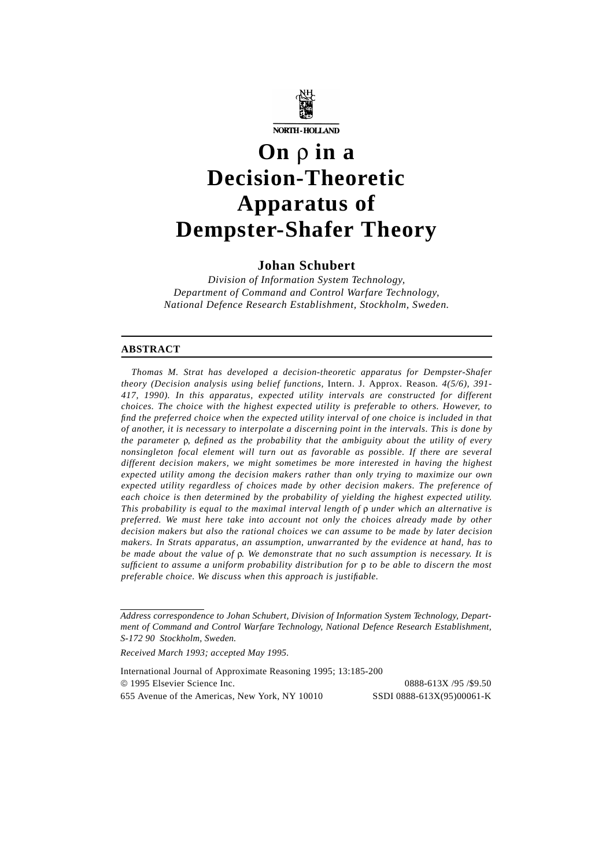

# **On** ρ **in a Decision-Theoretic Apparatus of Dempster-Shafer Theory**

# **Johan Schubert**

*Division of Information System Technology, Department of Command and Control Warfare Technology, National Defence Research Establishment, Stockholm, Sweden.*

#### **ABSTRACT**

*Thomas M. Strat has developed a decision-theoretic apparatus for Dempster-Shafer theory (Decision analysis using belief functions,* Intern. J. Approx. Reason*. 4(5/6), 391- 417, 1990). In this apparatus, expected utility intervals are constructed for different choices. The choice with the highest expected utility is preferable to others. However, to find the preferred choice when the expected utility interval of one choice is included in that of another, it is necessary to interpolate a discerning point in the intervals. This is done by the parameter* ρ*, defined as the probability that the ambiguity about the utility of every nonsingleton focal element will turn out as favorable as possible. If there are several different decision makers, we might sometimes be more interested in having the highest expected utility among the decision makers rather than only trying to maximize our own expected utility regardless of choices made by other decision makers. The preference of each choice is then determined by the probability of yielding the highest expected utility. This probability is equal to the maximal interval length of* ρ *under which an alternative is preferred. We must here take into account not only the choices already made by other decision makers but also the rational choices we can assume to be made by later decision makers. In Strats apparatus, an assumption, unwarranted by the evidence at hand, has to be made about the value of* ρ*. We demonstrate that no such assumption is necessary. It is sufficient to assume a uniform probability distribution for* ρ *to be able to discern the most preferable choice. We discuss when this approach is justifiable.*

*Received March 1993; accepted May 1995.*

International Journal of Approximate Reasoning 1995; 13:185-200 1995 Elsevier Science Inc. 0888-613X /95 /\$9.50 655 Avenue of the Americas, New York, NY 10010 SSDI 0888-613X(95)00061-K

*Address correspondence to Johan Schubert, Division of Information System Technology, Department of Command and Control Warfare Technology, National Defence Research Establishment, S-172 90 Stockholm, Sweden.*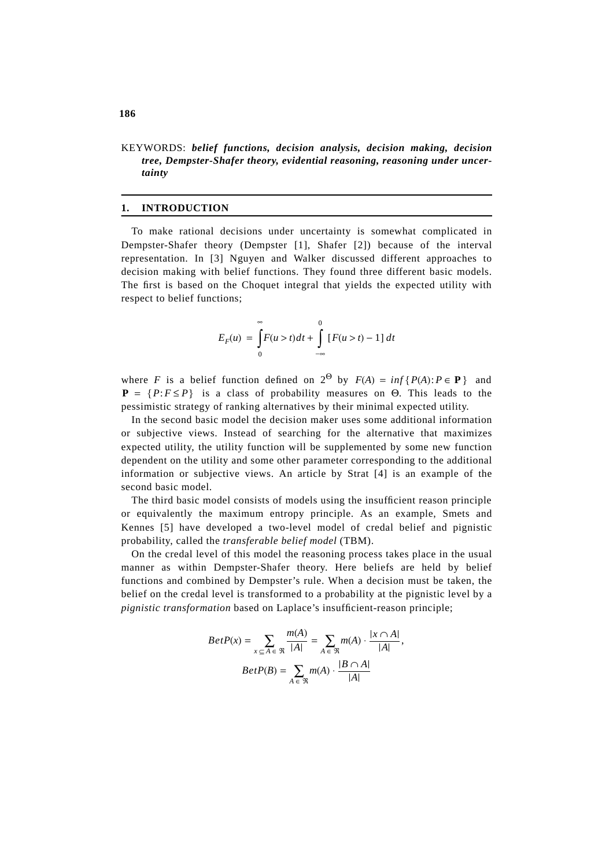# KEYWORDS: *belief functions, decision analysis, decision making, decision tree, Dempster-Shafer theory, evidential reasoning, reasoning under uncertainty*

# **1. INTRODUCTION**

To make rational decisions under uncertainty is somewhat complicated in Dempster-Shafer theory (Dempster [1], Shafer [2]) because of the interval representation. In [3] Nguyen and Walker discussed different approaches to decision making with belief functions. They found three different basic models. The first is based on the Choquet integral that yields the expected utility with respect to belief functions;

$$
E_F(u) = \int_{0}^{\infty} F(u > t)dt + \int_{-\infty}^{0} [F(u > t) - 1] dt
$$

where *F* is a belief function defined on  $2^{\Theta}$  by  $F(A) = inf\{P(A): P \in \mathbf{P}\}\$  and  $P = {P : F \leq P}$  is a class of probability measures on  $\Theta$ . This leads to the pessimistic strategy of ranking alternatives by their minimal expected utility.

In the second basic model the decision maker uses some additional information or subjective views. Instead of searching for the alternative that maximizes expected utility, the utility function will be supplemented by some new function dependent on the utility and some other parameter corresponding to the additional information or subjective views. An article by Strat [4] is an example of the second basic model.

The third basic model consists of models using the insufficient reason principle or equivalently the maximum entropy principle. As an example, Smets and Kennes [5] have developed a two-level model of credal belief and pignistic probability, called the *transferable belief model* (TBM).

On the credal level of this model the reasoning process takes place in the usual manner as within Dempster-Shafer theory. Here beliefs are held by belief functions and combined by Dempster's rule. When a decision must be taken, the belief on the credal level is transformed to a probability at the pignistic level by a *pignistic transformation* based on Laplace's insufficient-reason principle;

$$
BetP(x) = \sum_{x \subseteq A \in \mathfrak{R}} \frac{m(A)}{|A|} = \sum_{A \in \mathfrak{R}} m(A) \cdot \frac{|x \cap A|}{|A|},
$$

$$
BetP(B) = \sum_{A \in \mathfrak{R}} m(A) \cdot \frac{|B \cap A|}{|A|}
$$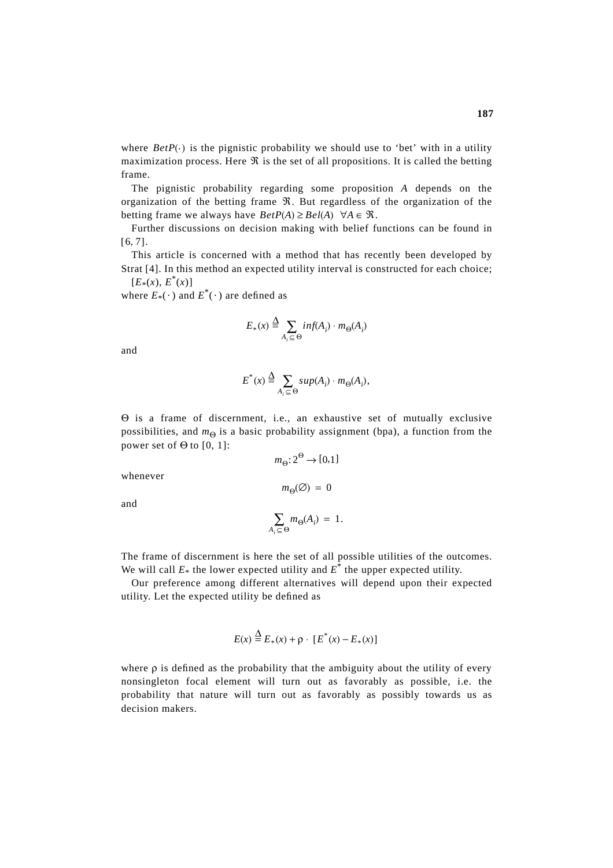where  $BetP(\cdot)$  is the pignistic probability we should use to 'bet' with in a utility maximization process. Here  $\Re$  is the set of all propositions. It is called the betting frame.

The pignistic probability regarding some proposition *A* depends on the organization of the betting frame  $\Re$ . But regardless of the organization of the betting frame we always have  $BetP(A) \geq Bel(A) \ \ \forall A \in \mathcal{R}$ .

Further discussions on decision making with belief functions can be found in  $[ 6, 7 ]$ .

This article is concerned with a method that has recently been developed by Strat [4]. In this method an expected utility interval is constructed for each choice;  $[E_*(x), E^*(x)]$ 

where  $E_*(\cdot)$  and  $E^*(\cdot)$  are defined as

$$
E_*(x) \stackrel{\Delta}{=} \sum_{A_i \subseteq \Theta} inf(A_i) \cdot m_{\Theta}(A_i)
$$

and

$$
E^*(x) \stackrel{\Delta}{=} \sum_{A_i \subseteq \Theta} sup(A_i) \cdot m_{\Theta}(A_i),
$$

Θ is a frame of discernment, i.e., an exhaustive set of mutually exclusive possibilities, and  $m_{\Theta}$  is a basic probability assignment (bpa), a function from the power set of  $\Theta$  to [0, 1]:

$$
m_{\Theta}: 2^{\Theta} \to [0,1]
$$

 $m_{\Theta}(\emptyset) = 0$ 

whenever

and

$$
\sum_{A_i \subseteq \Theta} m_{\Theta}(A_i) = 1.
$$

The frame of discernment is here the set of all possible utilities of the outcomes. We will call  $E_*$  the lower expected utility and  $E^*$  the upper expected utility.

Our preference among different alternatives will depend upon their expected utility. Let the expected utility be defined as

$$
E(x) \stackrel{\Delta}{=} E_*(x) + \rho \cdot [E^*(x) - E_*(x)]
$$

where  $\rho$  is defined as the probability that the ambiguity about the utility of every nonsingleton focal element will turn out as favorably as possible, i.e. the probability that nature will turn out as favorably as possibly towards us as decision makers.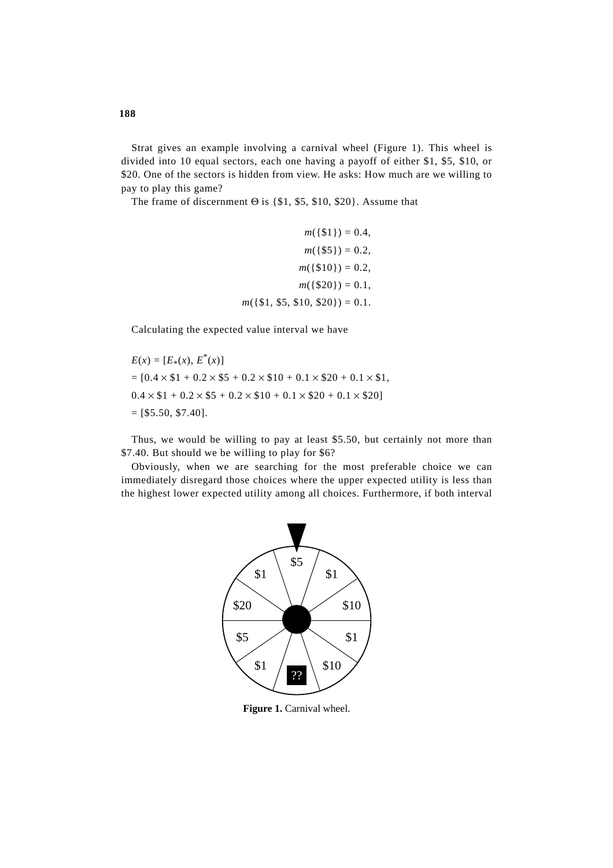Strat gives an example involving a carnival wheel (Figure 1). This wheel is divided into 10 equal sectors, each one having a payoff of either \$1, \$5, \$10, or \$20. One of the sectors is hidden from view. He asks: How much are we willing to pay to play this game?

The frame of discernment  $\Theta$  is {\$1, \$5, \$10, \$20}. Assume that

```
m({151}) = 0.4,
             m({85}) = 0.2,
            m({810}) = 0.2,
            m({820}) = 0.1,
m({1, 1, 55, 10, 20}) = 0.1.
```
Calculating the expected value interval we have

 $E(x) = [E_*(x), E^*(x)]$  $= [0.4 \times $1 + 0.2 \times $5 + 0.2 \times $10 + 0.1 \times $20 + 0.1 \times $1,$  $0.4 \times $1 + 0.2 \times $5 + 0.2 \times $10 + 0.1 \times $20 + 0.1 \times $20]$  $=$  [\$5.50, \$7.40].

Thus, we would be willing to pay at least \$5.50, but certainly not more than \$7.40. But should we be willing to play for \$6?

Obviously, when we are searching for the most preferable choice we can immediately disregard those choices where the upper expected utility is less than the highest lower expected utility among all choices. Furthermore, if both interval



**Figure 1.** Carnival wheel.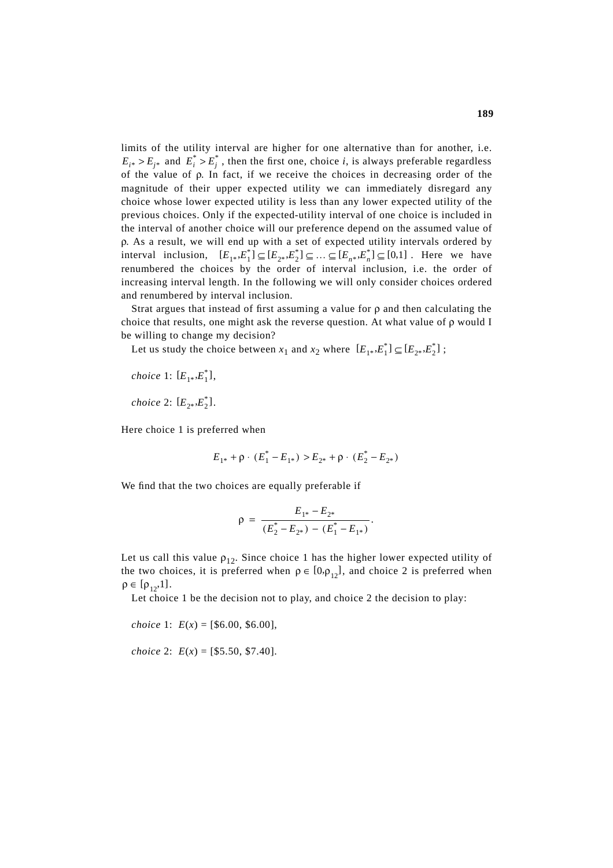limits of the utility interval are higher for one alternative than for another, i.e.  $E_{i^*} > E_{j^*}$  and  $E_i^* > E_j^*$ , then the first one, choice *i*, is always preferable regardless of the value of ρ. In fact, if we receive the choices in decreasing order of the magnitude of their upper expected utility we can immediately disregard any choice whose lower expected utility is less than any lower expected utility of the previous choices. Only if the expected-utility interval of one choice is included in the interval of another choice will our preference depend on the assumed value of ρ. As a result, we will end up with a set of expected utility intervals ordered by interval inclusion,  $[E_{1*}, E_1^*] \subseteq [E_{2*}, E_2^*] \subseteq \ldots \subseteq [E_{n*}, E_n^*] \subseteq [0,1]$ . Here we have renumbered the choices by the order of interval inclusion, i.e. the order of increasing interval length. In the following we will only consider choices ordered and renumbered by interval inclusion.

Strat argues that instead of first assuming a value for  $\rho$  and then calculating the choice that results, one might ask the reverse question. At what value of ρ would I be willing to change my decision?

Let us study the choice between  $x_1$  and  $x_2$  where  $[E_{1*}, E_1^*] \subseteq [E_{2*}, E_2^*]$ ;

 $choice 1: [E<sub>1*</sub>, E<sub>1</sub><sup>*</sup>],$ *choice* 2:  $[E_{2*}, E_2^*]$ .

Here choice 1 is preferred when

$$
E_{1^*} + \rho \cdot (E_1^* - E_{1^*}) > E_{2^*} + \rho \cdot (E_2^* - E_{2^*})
$$

We find that the two choices are equally preferable if

$$
\rho = \frac{E_{1*} - E_{2*}}{(E_2^* - E_{2*}) - (E_1^* - E_{1*})}.
$$

Let us call this value  $\rho_{12}$ . Since choice 1 has the higher lower expected utility of the two choices, it is preferred when  $\rho \in [0, \rho_{12}]$ , and choice 2 is preferred when  $\rho \in [\rho_{12}, 1].$ 

Let choice 1 be the decision not to play, and choice 2 the decision to play:

*choice* 1:  $E(x) = [\$6.00, \$6.00],$ 

*choice* 2: *E*(*x*) = [\$5.50, \$7.40].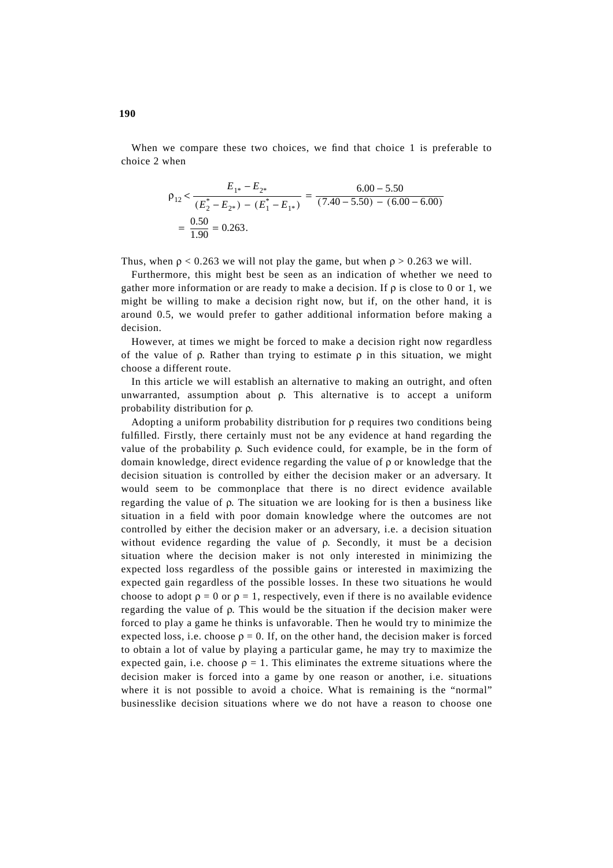When we compare these two choices, we find that choice 1 is preferable to choice 2 when

$$
\rho_{12} < \frac{E_{1*} - E_{2*}}{(E_2^* - E_{2*}) - (E_1^* - E_{1*})} = \frac{6.00 - 5.50}{(7.40 - 5.50) - (6.00 - 6.00)}
$$
\n
$$
= \frac{0.50}{1.90} = 0.263.
$$

Thus, when  $\rho < 0.263$  we will not play the game, but when  $\rho > 0.263$  we will.

Furthermore, this might best be seen as an indication of whether we need to gather more information or are ready to make a decision. If  $\rho$  is close to 0 or 1, we might be willing to make a decision right now, but if, on the other hand, it is around 0.5, we would prefer to gather additional information before making a decision.

However, at times we might be forced to make a decision right now regardless of the value of  $\rho$ . Rather than trying to estimate  $\rho$  in this situation, we might choose a different route.

In this article we will establish an alternative to making an outright, and often unwarranted, assumption about ρ. This alternative is to accept a uniform probability distribution for ρ.

Adopting a uniform probability distribution for ρ requires two conditions being fulfilled. Firstly, there certainly must not be any evidence at hand regarding the value of the probability ρ. Such evidence could, for example, be in the form of domain knowledge, direct evidence regarding the value of ρ or knowledge that the decision situation is controlled by either the decision maker or an adversary. It would seem to be commonplace that there is no direct evidence available regarding the value of ρ. The situation we are looking for is then a business like situation in a field with poor domain knowledge where the outcomes are not controlled by either the decision maker or an adversary, i.e. a decision situation without evidence regarding the value of ρ. Secondly, it must be a decision situation where the decision maker is not only interested in minimizing the expected loss regardless of the possible gains or interested in maximizing the expected gain regardless of the possible losses. In these two situations he would choose to adopt  $\rho = 0$  or  $\rho = 1$ , respectively, even if there is no available evidence regarding the value of ρ. This would be the situation if the decision maker were forced to play a game he thinks is unfavorable. Then he would try to minimize the expected loss, i.e. choose  $\rho = 0$ . If, on the other hand, the decision maker is forced to obtain a lot of value by playing a particular game, he may try to maximize the expected gain, i.e. choose  $\rho = 1$ . This eliminates the extreme situations where the decision maker is forced into a game by one reason or another, i.e. situations where it is not possible to avoid a choice. What is remaining is the "normal" businesslike decision situations where we do not have a reason to choose one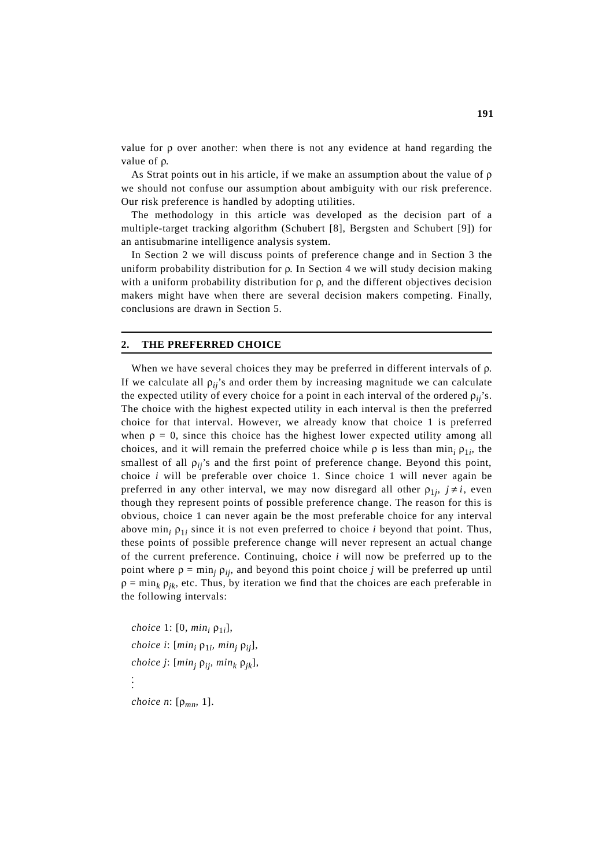value for ρ over another: when there is not any evidence at hand regarding the value of ρ.

As Strat points out in his article, if we make an assumption about the value of ρ we should not confuse our assumption about ambiguity with our risk preference. Our risk preference is handled by adopting utilities.

The methodology in this article was developed as the decision part of a multiple-target tracking algorithm (Schubert [8], Bergsten and Schubert [9]) for an antisubmarine intelligence analysis system.

In Section 2 we will discuss points of preference change and in Section 3 the uniform probability distribution for ρ. In Section 4 we will study decision making with a uniform probability distribution for  $\rho$ , and the different objectives decision makers might have when there are several decision makers competing. Finally, conclusions are drawn in Section 5.

#### **2. THE PREFERRED CHOICE**

When we have several choices they may be preferred in different intervals of ρ. If we calculate all  $\rho_{ii}$ 's and order them by increasing magnitude we can calculate the expected utility of every choice for a point in each interval of the ordered  $\rho_{ii}$ 's. The choice with the highest expected utility in each interval is then the preferred choice for that interval. However, we already know that choice 1 is preferred when  $\rho = 0$ , since this choice has the highest lower expected utility among all choices, and it will remain the preferred choice while  $\rho$  is less than min<sub>i</sub>  $\rho_{1i}$ , the smallest of all  $\rho_{ii}$ 's and the first point of preference change. Beyond this point, choice *i* will be preferable over choice 1. Since choice 1 will never again be preferred in any other interval, we may now disregard all other  $\rho_{1j}$ ,  $j \neq i$ , even though they represent points of possible preference change. The reason for this is obvious, choice 1 can never again be the most preferable choice for any interval above min<sub>i</sub>  $\rho_{1i}$  since it is not even preferred to choice *i* beyond that point. Thus, these points of possible preference change will never represent an actual change of the current preference. Continuing, choice *i* will now be preferred up to the point where  $\rho = \min_i \rho_{ii}$ , and beyond this point choice *j* will be preferred up until  $\rho = \min_k \rho_{ik}$ , etc. Thus, by iteration we find that the choices are each preferable in the following intervals:

*choice* 1: [0*, min*,  $ρ<sub>1</sub>$ *]*, *choice i*:  $[\min_i \rho_{1i}, \min_i \rho_{ii}],$ *choice j*:  $[\min_i \rho_{ii}, \min_k \rho_{ik}]$ , . . .

*choice n*: [ρ*mn,* 1].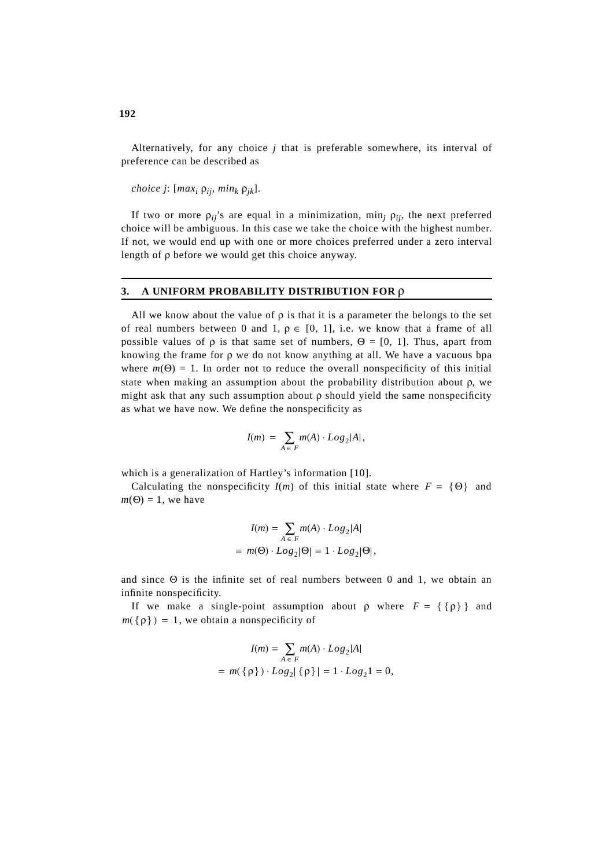Alternatively, for any choice *j* that is preferable somewhere, its interval of preference can be described as

*choice j*:  $[max_i p_{ij}, min_k p_{jk}].$ 

If two or more  $\rho_{ii}$ 's are equal in a minimization, min<sub>i</sub>  $\rho_{ii}$ , the next preferred choice will be ambiguous. In this case we take the choice with the highest number. If not, we would end up with one or more choices preferred under a zero interval length of ρ before we would get this choice anyway.

### **3. A UNIFORM PROBABILITY DISTRIBUTION FOR** ρ

All we know about the value of  $\rho$  is that it is a parameter the belongs to the set of real numbers between 0 and 1,  $\rho \in [0, 1]$ , i.e. we know that a frame of all possible values of  $\rho$  is that same set of numbers,  $\Theta = [0, 1]$ . Thus, apart from knowing the frame for  $\rho$  we do not know anything at all. We have a vacuous bpa where  $m(\Theta) = 1$ . In order not to reduce the overall nonspecificity of this initial state when making an assumption about the probability distribution about ρ, we might ask that any such assumption about  $\rho$  should yield the same nonspecificity as what we have now. We define the nonspecificity as

$$
I(m) = \sum_{A \in F} m(A) \cdot Log_2|A|,
$$

which is a generalization of Hartley's information [10].

Calculating the nonspecificity  $I(m)$  of this initial state where  $F = \{ \Theta \}$  and  $m(\Theta) = 1$ , we have

$$
I(m) = \sum_{A \in F} m(A) \cdot Log_2|A|
$$
  
=  $m(\Theta) \cdot Log_2|\Theta| = 1 \cdot Log_2|\Theta|$ ,

and since Θ is the infinite set of real numbers between 0 and 1, we obtain an infinite nonspecificity.

If we make a single-point assumption about  $\rho$  where  $F = \{\{\rho\}\}\$  and  $m({p}) = 1$ , we obtain a nonspecificity of

$$
I(m) = \sum_{A \in F} m(A) \cdot Log_2|A|
$$
  
=  $m(\{\rho\}) \cdot Log_2|\{\rho\}| = 1 \cdot Log_2 1 = 0$ ,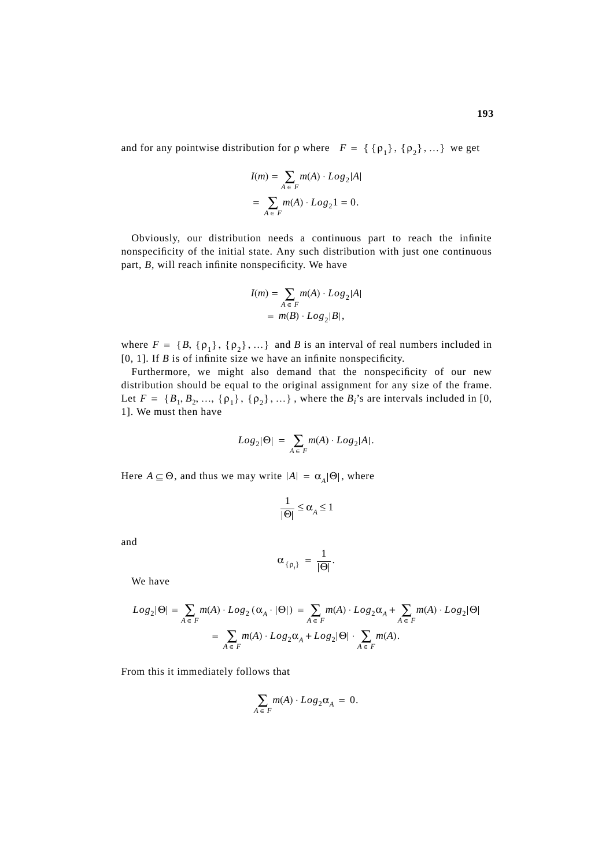and for any pointwise distribution for  $\rho$  where  $F = \{ {\rho_1}, {\rho_2}, ... \}$  we get

$$
I(m) = \sum_{A \in F} m(A) \cdot Log_2|A|
$$
  
= 
$$
\sum_{A \in F} m(A) \cdot Log_2 1 = 0.
$$

Obviously, our distribution needs a continuous part to reach the infinite nonspecificity of the initial state. Any such distribution with just one continuous part, *B*, will reach infinite nonspecificity. We have

$$
I(m) = \sum_{A \in F} m(A) \cdot Log_2|A|
$$
  
=  $m(B) \cdot Log_2|B|$ ,

where  $F = \{B, \{p_1\}, \{p_2\}, ...\}$  and *B* is an interval of real numbers included in [0, 1]. If *B* is of infinite size we have an infinite nonspecificity.

Furthermore, we might also demand that the nonspecificity of our new distribution should be equal to the original assignment for any size of the frame. Let  $F = \{B_1, B_2, ..., \{p_1\}, \{p_2\}, ...\}$ , where the  $B_i$ 's are intervals included in [0, 1]. We must then have

$$
Log_2|\Theta| = \sum_{A \in F} m(A) \cdot Log_2|A|.
$$

Here  $A \subseteq \Theta$ , and thus we may write  $|A| = \alpha_A |\Theta|$ , where

$$
\frac{1}{|\Theta|} \le \alpha_A \le 1
$$

and

$$
\alpha_{\{\rho_i\}} = \frac{1}{|\Theta|}.
$$

We have

$$
Log_2|\Theta| = \sum_{A \in F} m(A) \cdot Log_2(\alpha_A \cdot |\Theta|) = \sum_{A \in F} m(A) \cdot Log_2 \alpha_A + \sum_{A \in F} m(A) \cdot Log_2|\Theta|
$$
  
= 
$$
\sum_{A \in F} m(A) \cdot Log_2 \alpha_A + Log_2|\Theta| \cdot \sum_{A \in F} m(A).
$$

From this it immediately follows that

$$
\sum_{A \in F} m(A) \cdot Log_2 \alpha_A = 0.
$$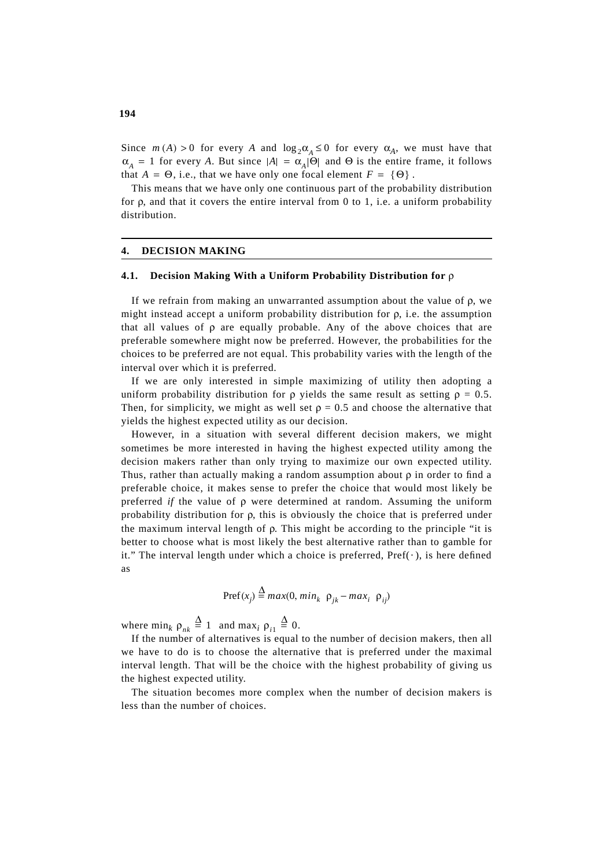Since  $m(A) > 0$  for every *A* and  $\log_2 \alpha_A \leq 0$  for every  $\alpha_A$ , we must have that  $\alpha_A = 1$  for every *A*. But since  $|A| = \alpha_A |\Theta|$  and  $\Theta$  is the entire frame, it follows that  $A = \Theta$ , i.e., that we have only one focal element  $F = \{\Theta\}$ .

This means that we have only one continuous part of the probability distribution for ρ, and that it covers the entire interval from 0 to 1, i.e. a uniform probability distribution.

#### **4. DECISION MAKING**

# **4.1. Decision Making With a Uniform Probability Distribution for** ρ

If we refrain from making an unwarranted assumption about the value of ρ, we might instead accept a uniform probability distribution for ρ, i.e. the assumption that all values of  $\rho$  are equally probable. Any of the above choices that are preferable somewhere might now be preferred. However, the probabilities for the choices to be preferred are not equal. This probability varies with the length of the interval over which it is preferred.

If we are only interested in simple maximizing of utility then adopting a uniform probability distribution for  $\rho$  yields the same result as setting  $\rho = 0.5$ . Then, for simplicity, we might as well set  $\rho = 0.5$  and choose the alternative that yields the highest expected utility as our decision.

However, in a situation with several different decision makers, we might sometimes be more interested in having the highest expected utility among the decision makers rather than only trying to maximize our own expected utility. Thus, rather than actually making a random assumption about  $\rho$  in order to find a preferable choice, it makes sense to prefer the choice that would most likely be preferred *if* the value of ρ were determined at random. Assuming the uniform probability distribution for ρ, this is obviously the choice that is preferred under the maximum interval length of ρ. This might be according to the principle "it is better to choose what is most likely the best alternative rather than to gamble for it." The interval length under which a choice is preferred,  $\text{Pref}(\cdot)$ , is here defined as

$$
Pref(x_j) \stackrel{\Delta}{=} max(0, min_k \ \rho_{jk} - max_i \ \rho_{ij})
$$

where  $\min_k \rho_{nk} \stackrel{\Delta}{=} 1$  and  $\max_i \rho_{i1} \stackrel{\Delta}{=} 0$ .

If the number of alternatives is equal to the number of decision makers, then all we have to do is to choose the alternative that is preferred under the maximal interval length. That will be the choice with the highest probability of giving us the highest expected utility.

The situation becomes more complex when the number of decision makers is less than the number of choices.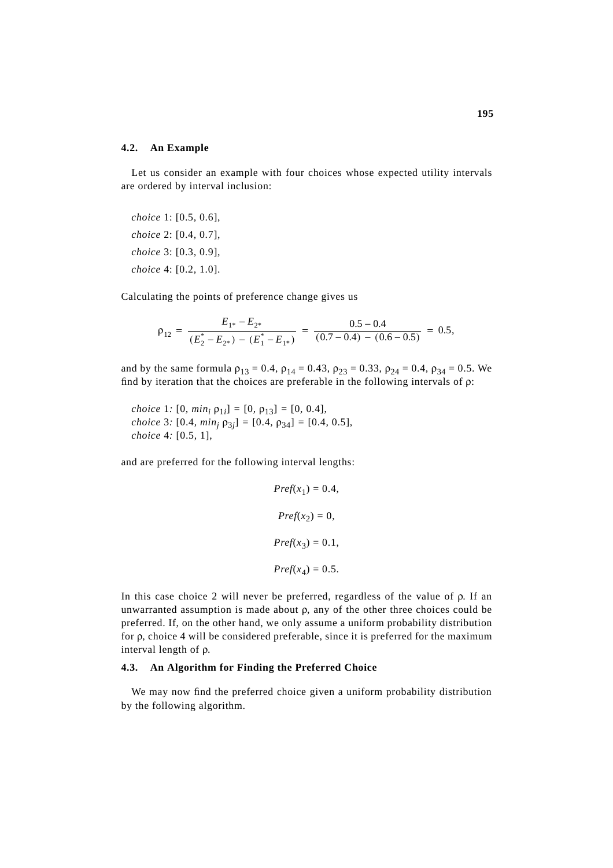#### **4.2. An Example**

Let us consider an example with four choices whose expected utility intervals are ordered by interval inclusion:

*choice* 1: [0.5*,* 0.6], *choice* 2: [0.4*,* 0.7], *choice* 3: [0.3*,* 0.9], *choice* 4: [0.2*,* 1.0].

Calculating the points of preference change gives us

$$
\rho_{12} = \frac{E_{1*} - E_{2*}}{(E_2^* - E_{2*}) - (E_1^* - E_{1*})} = \frac{0.5 - 0.4}{(0.7 - 0.4) - (0.6 - 0.5)} = 0.5,
$$

and by the same formula  $\rho_{13} = 0.4$ ,  $\rho_{14} = 0.43$ ,  $\rho_{23} = 0.33$ ,  $\rho_{24} = 0.4$ ,  $\rho_{34} = 0.5$ . We find by iteration that the choices are preferable in the following intervals of  $\rho$ :

*choice* 1*:* [0*, min<sub>i</sub>*  $\rho_{1i}$ ] = [0*,*  $\rho_{13}$ ] = [0*,* 0.4], *choice* 3*:* [0.4*, min<sub>i</sub>*  $\rho_{3j}$ ] = [0.4*,*  $\rho_{34}$ ] = [0.4*,* 0.5], *choice* 4*:* [0.5*,* 1],

and are preferred for the following interval lengths:

$$
Pref(x_1) = 0.4,
$$
  

$$
Pref(x_2) = 0,
$$
  

$$
Pref(x_3) = 0.1,
$$
  

$$
Pref(x_4) = 0.5.
$$

In this case choice 2 will never be preferred, regardless of the value of ρ. If an unwarranted assumption is made about  $\rho$ , any of the other three choices could be preferred. If, on the other hand, we only assume a uniform probability distribution for ρ, choice 4 will be considered preferable, since it is preferred for the maximum interval length of ρ.

## **4.3. An Algorithm for Finding the Preferred Choice**

We may now find the preferred choice given a uniform probability distribution by the following algorithm.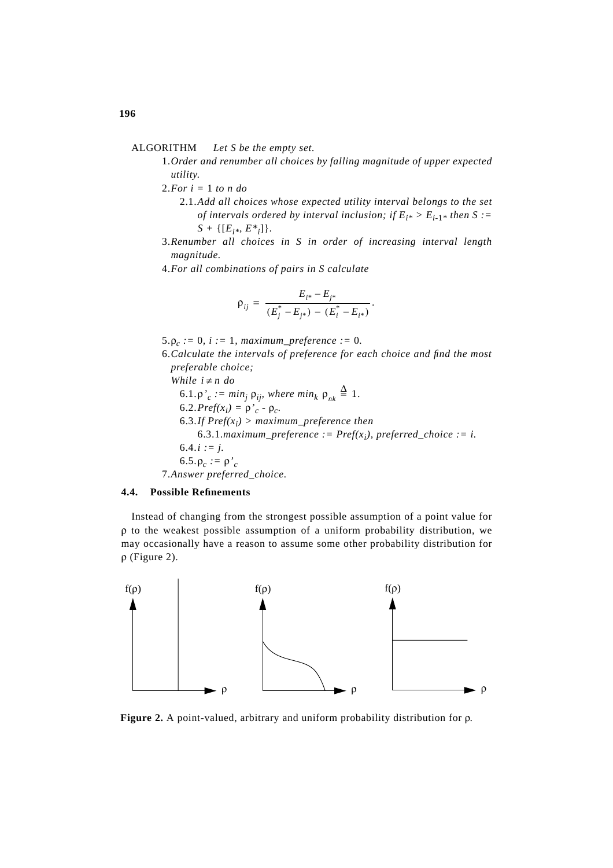# ALGORITHM *Let S be the empty set.*

- 1.*Order and renumber all choices by falling magnitude of upper expected utility.*
- 2.*For i =* 1 *to n do*
	- 2.1.*Add all choices whose expected utility interval belongs to the set of intervals ordered by interval inclusion; if*  $E_{i^*} > E_{i-1^*}$  *then S* :=  $S + \{[E_{i*}, E^{*}] \}.$
- 3.*Renumber all choices in S in order of increasing interval length magnitude.*
- 4.*For all combinations of pairs in S calculate*

$$
\rho_{ij} = \frac{E_{i^*} - E_{j^*}}{(E_j^* - E_{j^*}) - (E_i^* - E_{i^*})}.
$$

5. $\rho_c := 0$ ,  $i := 1$ , maximum\_preference := 0.

6.*Calculate the intervals of preference for each choice and find the most preferable choice;*

*While*  $i \neq n$  *do* 6.1. $\rho'_c := \min_j \rho_{ij}$ , where  $\min_k \rho_{nk} \stackrel{\Delta}{=} 1$ . 6.2.*Pref*( $x_i$ ) =  $ρ'_{c}$  -  $ρ_{c}$ . 6.3.If  $\text{Pref}(x_i) > \text{maximum\_preference}$  then 6.3.1.*maximum\_preference := Pref(x<sub>i</sub>), preferred\_choice := i.*  $6.4.i := j.$ 6.5. $ρ<sub>c</sub> := ρ<sup>2</sup><sub>c</sub>$ 7.*Answer preferred\_choice.*

# **4.4. Possible Refinements**

Instead of changing from the strongest possible assumption of a point value for ρ to the weakest possible assumption of a uniform probability distribution, we may occasionally have a reason to assume some other probability distribution for ρ (Figure 2).



**Figure 2.** A point-valued, arbitrary and uniform probability distribution for ρ.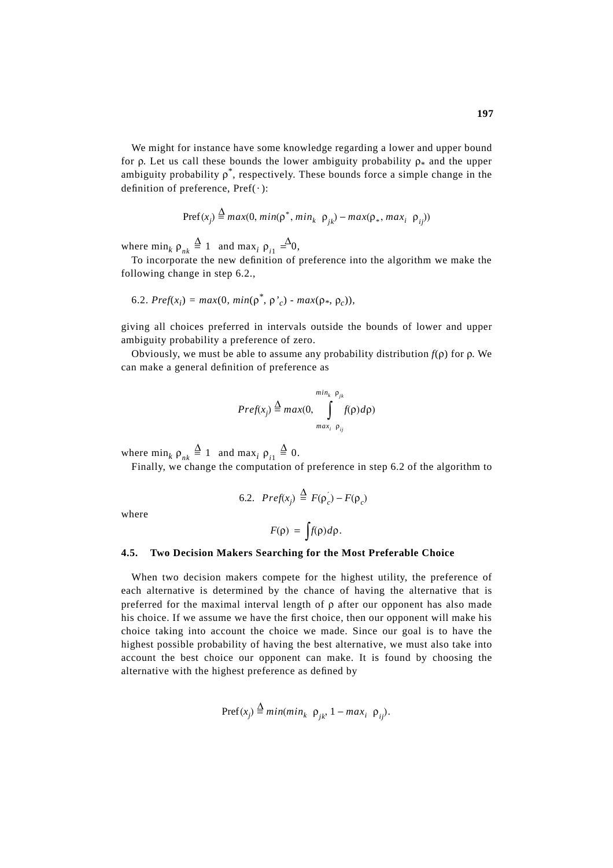We might for instance have some knowledge regarding a lower and upper bound for ρ. Let us call these bounds the lower ambiguity probability  $\rho_*$  and the upper ambiguity probability  $\rho^*$ , respectively. These bounds force a simple change in the definition of preference,  $Pref(\cdot)$ :

$$
Pref(x_j) \stackrel{\Delta}{=} max(0, min(\rho^*, min_k \ \rho_{jk}) - max(\rho_*, max_i \ \rho_{ij}))
$$

where  $\min_k \rho_{nk} \stackrel{\Delta}{=} 1$  and  $\max_i \rho_{i1} \stackrel{\Delta}{=} 0$ ,

To incorporate the new definition of preference into the algorithm we make the following change in step 6.2.,

6.2. 
$$
Pref(x_i) = max(0, min(\rho^*, \rho'_c) - max(\rho_*, \rho_c))
$$
,

giving all choices preferred in intervals outside the bounds of lower and upper ambiguity probability a preference of zero.

Obviously, we must be able to assume any probability distribution  $f(\rho)$  for  $\rho$ . We can make a general definition of preference as

$$
Pref(x_j) \stackrel{\Delta}{=} max(0, \int_{max_i \rho_{ij}}^{min_k \rho_{jk}} f(\rho) d\rho)
$$

where  $\min_k \rho_{nk} \stackrel{\Delta}{=} 1$  and  $\max_i \rho_{i1} \stackrel{\Delta}{=} 0$ .

Finally, we change the computation of preference in step 6.2 of the algorithm to

6.2. 
$$
Pref(x_j) \stackrel{\Delta}{=} F(\rho_c) - F(\rho_c)
$$

where

$$
F(\rho) = \int f(\rho) d\rho.
$$

#### **4.5. Two Decision Makers Searching for the Most Preferable Choice**

When two decision makers compete for the highest utility, the preference of each alternative is determined by the chance of having the alternative that is preferred for the maximal interval length of ρ after our opponent has also made his choice. If we assume we have the first choice, then our opponent will make his choice taking into account the choice we made. Since our goal is to have the highest possible probability of having the best alternative, we must also take into account the best choice our opponent can make. It is found by choosing the alternative with the highest preference as defined by

$$
Pref(x_j) \stackrel{\Delta}{=} \min(\min_k \ \rho_{jk}, 1 - \max_i \ \rho_{ij}).
$$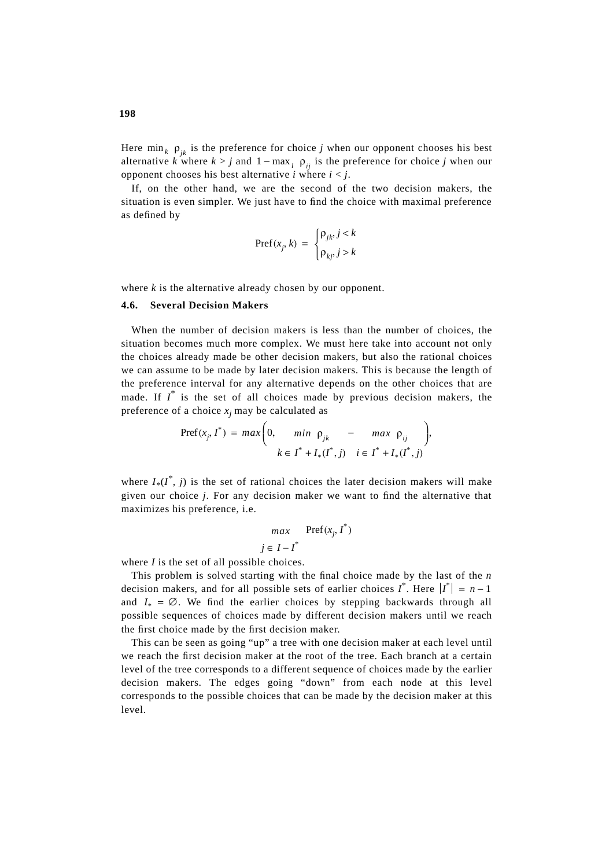Here  $\min_k \rho_{jk}$  is the preference for choice *j* when our opponent chooses his best alternative *k* where  $k > j$  and  $1 - \max_i \rho_{ij}$  is the preference for choice *j* when our opponent chooses his best alternative *i* where  $i < j$ .

If, on the other hand, we are the second of the two decision makers, the situation is even simpler. We just have to find the choice with maximal preference as defined by

$$
\operatorname{Pref}(x_j, k) = \begin{cases} \rho_{jk}, j < k \\ \rho_{kj}, j > k \end{cases}
$$

where *k* is the alternative already chosen by our opponent.

# **4.6. Several Decision Makers**

When the number of decision makers is less than the number of choices, the situation becomes much more complex. We must here take into account not only the choices already made be other decision makers, but also the rational choices we can assume to be made by later decision makers. This is because the length of the preference interval for any alternative depends on the other choices that are made. If  $I^*$  is the set of all choices made by previous decision makers, the preference of a choice  $x_i$  may be calculated as

$$
\begin{aligned} \text{Pref}(x_j, I^*) &= \max\bigg(0, \quad \min \ \rho_{jk} \ - \max \ \rho_{ij} \bigg), \\ k &\in I^* + I_*(I^*, j) \quad i \in I^* + I_*(I^*, j) \end{aligned}
$$

where  $I_*(I^*, j)$  is the set of rational choices the later decision makers will make given our choice *j*. For any decision maker we want to find the alternative that maximizes his preference, i.e.

$$
\max_{j \in I - I^*} \text{Pref}(x_j, I^*)
$$

where *I* is the set of all possible choices.

This problem is solved starting with the final choice made by the last of the *n* decision makers, and for all possible sets of earlier choices  $I^*$ . Here  $|I^*| = n - 1$ and  $I_* = \emptyset$ . We find the earlier choices by stepping backwards through all possible sequences of choices made by different decision makers until we reach the first choice made by the first decision maker.

This can be seen as going "up" a tree with one decision maker at each level until we reach the first decision maker at the root of the tree. Each branch at a certain level of the tree corresponds to a different sequence of choices made by the earlier decision makers. The edges going "down" from each node at this level corresponds to the possible choices that can be made by the decision maker at this level.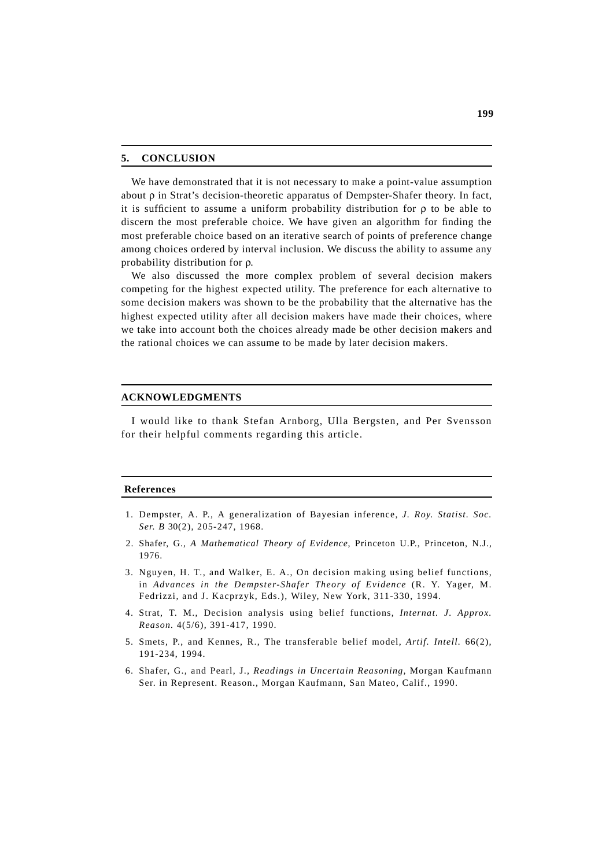#### **5. CONCLUSION**

We have demonstrated that it is not necessary to make a point-value assumption about ρ in Strat's decision-theoretic apparatus of Dempster-Shafer theory. In fact, it is sufficient to assume a uniform probability distribution for ρ to be able to discern the most preferable choice. We have given an algorithm for finding the most preferable choice based on an iterative search of points of preference change among choices ordered by interval inclusion. We discuss the ability to assume any probability distribution for ρ.

We also discussed the more complex problem of several decision makers competing for the highest expected utility. The preference for each alternative to some decision makers was shown to be the probability that the alternative has the highest expected utility after all decision makers have made their choices, where we take into account both the choices already made be other decision makers and the rational choices we can assume to be made by later decision makers.

#### **ACKNOWLEDGMENTS**

I would like to thank Stefan Arnborg, Ulla Bergsten, and Per Svensson for their helpful comments regarding this article.

#### **References**

- 1. Dempster, A. P., A generalization of Bayesian inference, *J. Roy. Statist. Soc. Ser. B* 30(2), 205-247, 1968.
- 2. Shafer, G., *A Mathematical Theory of Evidence*, Princeton U.P., Princeton, N.J., 1976.
- 3. Nguyen, H. T., and Walker, E. A., On decision making using belief functions, in *Advances in the Dempster-Shafer Theory of Evidence* (R. Y. Yager, M. Fedrizzi, and J. Kacprzyk, Eds.), Wiley, New York, 311-330, 1994.
- 4. Strat, T. M., Decision analysis using belief functions, *Internat. J. Approx. Reason.* 4(5/6), 391-417, 1990.
- 5. Smets, P., and Kennes, R., The transferable belief model, *Artif. Intell.* 66(2), 191-234, 1994.
- 6. Shafer, G., and Pearl, J., *Readings in Uncertain Reasoning,* Morgan Kaufmann Ser. in Represent. Reason., Morgan Kaufmann, San Mateo, Calif., 1990.